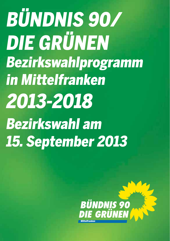**BÜNDNIS 90/** DIE GRÜNEN Bezirkswahlprogramm **in Mittelfranken** 2013-2018 **Bezirkswahl am 15. September 2013** 

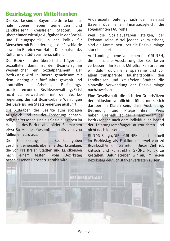### **Bezirkstag von Mittelfranken**

Die Bezirke sind in Bavern die dritte kommunale Ebene neben Gemeinden und<br>Landkreisen/ kreisfreien Städten Sie  $I$ andkreisen $/$ übernehmen wichtige Aufgaben in der Sozialund Bildungspolitik, in der Politik für Menschen mit Behinderung, in der Psychiatrie sowie im Bereich von Natur, Denkmalschutz, Kultur und Städtepartnerschaften.

Der Bezirk ist der überörtliche Träger der Sozialhilfe: damit ist der Bezirkstag im Wesentlichen ein Sozialparlament. Der Bezirkstag wird in Bavern gemeinsam mit dem Landtag alle fünf Jahre gewählt und kontrolliert die Arbeit des Bezirkstagspräsidenten und der Bezirksverwaltung. Er ist nicht zu verwechseln mit der Bezirksregierung, die auf Bezirksebene Weisungen der Bayerischen Staatsregierung ausführt.

Die Aufgaben der Bezirke zum sozialen Ausgleich und bei der Förderung benachteiligter Personen sind als Sozialausgaben im Haushalt des Bezirks abgebildet. Sie machen etwa 80 % des Gesamthaushalts von 700 Millionen Furo aus.

Die Finanzierung der Bezirksaufgaben geschieht einerseits über eine Bezirksumlage, die von kreisfreien Städten und Landkreisen nach einem festen, vom Bezirkstag beschlossenen Hebesatz gezahlt wird.

Andererseits beteiligt sich der Freistaat Bayern über einen Finanzausgleich, die sogenannten FAG-Mittel.

Weil die Sozialausgaben steigen, der Freistaat seine Mittel jedoch kaum erhöht, sind die Kommunen über die Bezirksumlage stark belastet.

Auf Landtagsebene versuchen die GRÜNFN. die finanzielle Ausstattung der Bezirke zu verbessern, Im Bezirk Mittelfranken arbeiten wir dafür, durch eine sparsame und vor  $allem$  transparente Haushaltspolitik, den Landkreisen und kreisfreien Städten die sinnvolle Verwendung der Bezirksumlage nachzuweisen

Eine Gesellschaft, die sich den Grundsätzen der Inklusion verpflichtet fühlt, muss sich darüber im Klaren sein, dass Ausbildung,<br>Betreuung und Pflege ihren Preis Betreuung haben. Deshalb ist der Finanzhedarf der Bezirksebene nach dem individuellen Bedarf der Leistungsempfänger auszurichten und nicht nach Kassenlage.

BÜNDNIS 90/DIE GRÜNEN sind aktuell im Bezirkstag als Fraktion mit zwei von 26 Bezirksrät/innen vertreten. Unser Ziel ist  $k$ ritisch und konstruktiv GRÜNF Politik zu gestalten. Dafür streben wir an, im neuen Bezirkstag deutlich stärker vertreten zu sein.

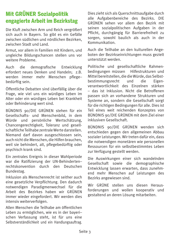## **Mit GRÜNER Sozialpolitik** engagierte Arbeit im Bezirkstag

Die Kluft zwischen Arm und Reich vergrößert sich auch in Bavern. So gibt es ein Gefälle zwischen südlichen und nördlichen Bezirken. zwischen Stadt und Land.

Armut, vor allem in Familien mit Kindern, und  $ungleiche$  Bildungschancen stellen uns vor weitere Probleme

Auch die demografische Entwicklung erfordert neues Denken und Handeln:  $z.B.$ werden immer mehr Menschen pflegebedürftig sein.

Öffentliche Debatten sind überfällig über die Frage, wie viel uns ein würdiges Leben im Alter oder ein würdiges Leben bei Krankheit oder Behinderung wert sind.

BÜNDNIS 90/DIE GRÜNEN stehen für ein Gesellschafts- und Menschenbild, in dem Würde und persönliche Wertschätzung, Chancengerechtigkeit, Toleranz und gesellschaftliche Teilhabe zentrale Werte darstellen Niemand darf davon ausgeschlossen sein. auch nicht die Menschen, die Hilfen brauchen. weil sie behindert, alt, pflegebedürftig oder psychisch krank sind.

Ein zentrales Ereignis in dieser Wahlperiode war die Ratifizierung der UN-Behindertenrechtskonvention durch den Deutschen Bundestag.

Inklusion als Menschenrecht ist seither auch eine gesetzliche Verpflichtung. Den dadurch notwendigen Paradigmenwechsel für die Arheit des Bezirkes hahen wir GRÜNEN immer wieder eingefordert. Wir werden dies intensiy weiterverfolgen.

Allen Menschen die Teilhabe am öffentlichen Leben zu ermöglichen, wie es in der baveri- $\frac{1}{2}$  schen Verfassung steht, ist für uns eine Selbstverständlichkeit und ein Handlungsauftrag. Dies zieht sich als Querschnittsaufgabe durch alle Aufgabenbereiche des Bezirks. DIE GRÜNEN sehen vor allem den Bezirk mit seinen sozialpolitischen Aufgaben in der Pflicht, durchgängig für Barrierefreiheit zu sorgen, sowohl baulich als auch in der Kommunikation.

Auch die Teilhabe an den kulturellen Angeboten der Bezirkseinrichtungen muss gezielt  $\mathbf{U}$ unterstiitzt werden

Politische und gesellschaftliche Rahmenbedingungen müssen Hilfestrukturen und Mittel bereitstellen, die die Würde, das Selbst-<br>bestimmungsrecht und die Figenbestimmungsrecht und die Eigenverantwortlichkeit des Einzelnen stärken  $-$  das ist Inklusion. Nicht die Betroffenen passen sich an vorhandene Strukturen und Systeme an, sondern die Gesellschaft sorgt für die richtigen Bedingungen für alle. Dies ist Teil eines weit reichenden Konzeptes von BÜNDNIS 90/DIE GRÜNEN mit dem Ziel einer  $inkl$ usiyen Gesellschaft

BÜNDNIS 90/DIE GRÜNEN wenden sich entschieden gegen den allgemeinen Abbau sozialer Leistungen, Wir treten dafür ein, dass die notwendigen monetären wie personellen Ressourcen für ein selhsthestimmtes Lehen zur Verfügung gestellt werden.

Die Auswirkungen einer sich wandelnden Gesellschaft sowie die demographische Entwicklung lassen erwarten, dass zunehmend mehr Menschen auf Leistungen des Bezirks angewiesen sind.

Wir GRÜNF stellen uns diesen Herausforderungen und wollen kooperativ und gestaltend an deren Lösung mitarbeiten.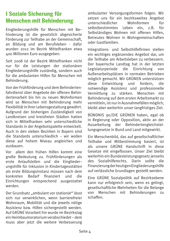## I Soziale Sicherung für **Menschen mit Behinderung**

Eingliederungshilfe für Menschen mit Behinderung ist die gesetzlich abgesicherte Förderung zur Teilhabe an der Gemeinschaft. an Bildung und am Berufsleben - dafür wurden 2012 im Bezirk Mittelfranken etwa 400 Millionen Euro ausgegeben.

Seit 2008 ist der Bezirk Mittelfranken nicht nur für die Leistungen der stationären Eingliederungshilfe zuständig, sondern auch für die ambulanten Hilfen für Menschen mit Behinderung.

Von der Frühförderung und dem Behindertenfahrdienst über Angebote der offenen Behindertenarheit his hin zu neuen Wohnformen wird so Menschen mit Behinderung mehr Flexibilität in ihrer Lebensgestaltung gewährt. Aufgrund der bisherigen Zuständigkeit von Landkreisen und kreisfreien Städten hatten sich in Mittelfranken sehr unterschiedliche Standards in der Angebotspalette entwickelt. Auch in den sieben Bezirken in Bayern sind die Standards unterschiedlich - wir wollen diese auf hohem Niveau angleichen und aushauen

Vor allem den frühen Hilfen kommt eine große Bedeutung zu. Frühförderungen als erste Anlaufstellen und die Eingliederungshilfe für Inklusion in Kindertagesstätten als erste Bildungsinstanz müssen nach dem konkreten Bedarf finanziert  $nnd$ die Einrichtungen entsprechend ausgestattet werden.

Der Grundsatz "ambulant vor stationär" lässt sich nur verwirklichen, wenn barrierefreier Wohnraum, Mobilität und die jeweils nötige Assistenz bzw. Hilfen sichergestellt werden. Auf GRÜNE Vorarbeit hin wurde im Bezirkstag ein Heimbaumoratorium verabschiedet-dem muss aber jetzt die weitere Verbesserung ambulanter Versorgungsformen folgen. Wir setzen uns für ein bezirksweites Angebot unterschiedlicher Wohnformen fiir selhsthestimmtes **Leben**  $ein. z.B.$ fiir Selbständiges Wohnen mit offenen Hilfen, Betreutes Wohnen in Wohngemeinschaften oder Gastfamilien.

Integrations- und Selbsthilfefirmen stellen ein wichtiges ergänzendes Angebot dar, um die Teilhabe am Arbeitsleben zu verbessern. Der bayerische Landtag hat in der letzten Legislaturperiode die Einrichtung von Außenarbeitsplätzen in normalen Betrieben möglich gemacht. Wir GRÜNEN unterstützen diese Entwicklung und fordern. eib notwendige Assistenz und professionelle Vermittlung zu stärken. Menschen mit Behinderung auf dem ersten Arbeitsmarkt zu vermitteln, ist nur in Ausnahmefällen möglich. bleibt aber weiterhin unser langfristiges Ziel.

BÜNDNIS 90/DIF GRÜNFN haben, egal ob in Regierung oder Opposition, aktiv an der Ausarbeitung der Behindertengleichstellungsgesetze in Bund und Land mitgewirkt.

Ein Menschenbild, das auf gesellschaftlicher Teilhabe und Mitbestimmung basiert, ist als unsere GRÜNE Handschrift in diese Gesetze mit eingeflossen. Unser Ziel bleibt weiterhin ein Bundesleistungsgesetz jenseits des Sozialhilferechts Darin sollte aih Finanzierung der heutigen Eingliederungshilfe auf verlässliche Grundlagen gestellt werden.

Eine GRÜNE Sozialpolitik auf Bezirksebene kann nur erfolgreich sein, wenn es gelingt, gesellschaftliche Mehrheiten für die Belange von Menschen mit Behinderungen  $711$ schaffen.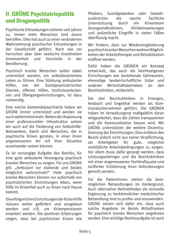## **II GRÜNE Psychiatriepolitik** und Drogenpolitik

Psychische Erkrankungen nehmen seit Jahren zu. Immer mehr Menschen sind davon hetroffen Dies hat auch zu einer veränderten Wahrnehmung psychischer Erkrankungen in der Gesellschaft geführt. Nach wie vor herrschen aber über seelische Krankheiten Unwissenheit und Vorurteile in  $\mathsf{d}\mathsf{e}\mathsf{r}$ Bevölkerung.

Psychisch kranke Menschen sollen dabei unterstützt werden, ein selbstbestimmtes Leben zu führen. Eine Stärkung ambulanter wie Sozialpsychiatrischen Hilfen. der Dienste, offenen Hilfen, Institutsambulanzen und Übergangseinrichtungen, ist dazu notwendig.

Eine solche Gemeindepsychiatrie haben wir GRÜNE immer unterstützt und werden sie auch weiterentwickeln. Neben der Anpassung einer professionellen Infrastruktur setzen wir auch auf die Förderung von Selbsthilfe-Netzwerken, damit sich Menschen, die in psychische Krisen geraten, in einer ihnen angemessenen Art mit ihrer Situation auseinander setzen können

Es ist vorrangige Aufgabe des Bezirks, für eine gute ambulante Versorgung psychisch kranker Menschen zu sorgen. Für uns GRÜNE gilt: "Ambulant vor stationär und beides möglichst wohnortnah!" Viele psychisch kranke Menschen können nur außerhalb von nsychiatrischen Einrichtungen leben, wenn Hilfe im Krisenfall auch zu ihnen nach Hause kommt.

Die erfolgreichen Einrichtungen der Krisenhilfe müssen weiter gefördert und ausgebaut werden und z.B. um Krisenpensionen erweitert werden. Die positiven Erfahrungen zeigen, dass bei psychischen Krisen wie

Phobien, Suizidgedanken oder Gewaltaushrüchen **die** rasche fachliche *Interstützung* durch  $pin$ Krisenteam Zwangsmaßnahmen. Klinikeinweisungen und polizeiliche Eingriffe in vielen Fällen überflüssig macht.

Wir fordern, dass zur Wiedereingliederung psychisch kranker Menschen weitere Möglichkeiten der Arbeitstherapie und Rehabilitation eröffnet werden.

Dafür haben die GRÜNEN ein Konzept entwickelt, das auch die bezirkseigenen Einrichtungen wie bestehende Gärtnereien. ehemalige landwirtschaftliche Güter und Wirtschaftsbetrieben anderen  $an$ den Bezirkskliniken, einbezieht.

Die drei Bezirkskliniken  $in$ Erlangen. Ansbach und Engelthal werden als Kommunalunternehmen geführt. Die GRÜNEN haben im Verwaltungsrat maßgeblich daran mitgearbeitet, dass die Zahlen transparenter und die Kommunikation besser wird Wir GRÜNF unterstützen die weitere Dezentralisierung der Finrichtungen. Dies entlässt den Bezirk jedoch nicht aus seiner Verpflichtung. Arbeitgeber möglichst für gute. als vorbildliche Arbeitsbedingungen zu sorgen. Vor allem muss dafür gesorgt werden, dass Leistungserbringer und die Bezirkskliniken mit einer angemessenen Fachkraftquote und tariflicher Entlohnung ihren Anforderungen gerecht werden.

Für die Patientlnnen stehen die bestmöglichen Behandlungen im Vordergrund. Auch alternative Heilmethoden als sinnvolle Ergänzung zu herkömmlicher medizinischer Behandlung sind zu prüfen und anzuwenden. GRÜNE setzen sich dafür ein, dass auch solche Angebote im Bezirk Mittelfranken für psychisch kranke Menschen angeboten werden. Eine wichtige Bezirksaufgabe ist auch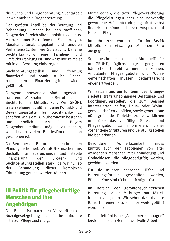die Sucht- und Drogenberatung. Suchtarbeit ist weit mehr als Drogenberatung.

Den größten Anteil bei der Beratung und  $Behandlung$  macht bei den stofflichen Drogen der Bereich Alkoholabhängigkeit aus. Hinzu kommen Betroffene mit Essstörungen.  $Medikamentenabhänqigkeit und anderen$  $Verhaltenssiichten wie Snielsucht. Da eine$ Suchterkrankung eine Familien- und Umfelderkrankung ist, sind Angehörige meist  $mit$  in die Beratung einbezogen.

Suchtberatungsstellen sind "freiwillig  $finanziert$ ", und somit ist bei Einsparungsplänen die Finanzierung immer wieder gefährdet.

 $Dirin$  gend notwendig sind tagesstrukturierende Maßnahmen für Betroffene aller  $Suchtarten$  in Mittelfranken. Wir GRÜNF treten vehement dafür ein, eine Kontakt- und Begegnungsstätte für Suchtkranke zu schaffen, wie sie z. B. in Oberbavern bestehen  $\mu$  mdlich auch in Bayern Drogenkonsumräume möglich zu machen, wie das in vielen Bundesländern schon geschehen ist.

Die Betreiber der Beratungsstellen brauchen Planungssicherheit. Wir GRÜNE machen uns deshalb für ausreichende und stabile Finanzierung der Drogen- und Suchtberatungsstellen stark, da wir nur so der Behandlung dieser komplexen Erkrankung gerecht werden können.

### III Politik für pflegebedürftige **Menschen und ihre Angehörigen**

Der Bezirk ist nach den Vorschriften der Sozialgesetzgebung auch für die stationäre Hilfe zur Pflege zuständig.

Mitmenschen, die trotz Pflegeversicherung die Pflegeleistungen oder eine notwendig gewordene Heimunterbringung nicht selbst finanzieren können, haben Anspruch auf Hilfe zur Pflege.

lm Jahr 2011 wurden dafür im Bezirk<br>Mittelfranken etwa oo Millionen Furo Mittelfranken etwa 90 ausgegeben.

Selbsthestimmtes Leben im Alter heißt für uns GRÜNE, möglichst lange im geeigneten  $h$ äuslichen Umfeld wohnen zu können. Ambulante Pflegeangebote und Wohngemeinschaften müssen bedarfsgerecht Arwaitert werden

Wir setzen uns ein für beim Bezirk angesiedelte, trägerunabhängige Beratungs- und Koordinierungsstellen, die zum Beispiel Interessierten helfen. Haus- oder Wohngemeinschaften zu bilden, sowie generatione nübergreifende Projekte zu verwirklichen und über das vielfältige Service- und Pflegeangebot zu informieren. Bisher vorhandene Strukturen und Beratungsstellen hleihen erhalten

Besondere Aufmerksamkeit muss künftig auch den Problemen von älter werdenden Menschen mit Behinderung und Obdachlosen, die pflegebedürftig werden, gewidmet werden.

Für sie müssen passende Hilfen und<br>Betreuungsformen geschaffen werden, Betreuungsformen geschaffen werden. Pflegeheime sind nicht die richtige Lösung.

Im Bereich der gerontopsychiatrischen Betreuung seiner Mitbürger hat Mittelfranken viel getan. Wir sehen das als gute Basis für einen Prozess, der weitergeführt werden soll.

Die mittelfränkische "Alzheimer-Kampagne"  $\mathsf{P}_k$  Teistet in diesem Bereich wertvolle Arbeit.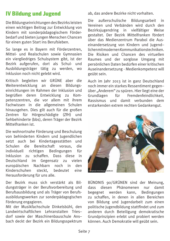## **IV Bildung und Jugend**

Die Bildungseinrichtungen des Bezirks leisten einen wichtigen Beitrag zur Entwicklung von Kindern mit sonderpädagogischem Förderbedarf und bieten jungen Menschen Chancen für einen guten Start ins Berufsleben.

So lange es in Bayern mit Förderzentren, Mittel- und Realschulen sowie Gymnasien ein viergliedriges Schulsystem gibt, ist der Bezirk aufgerufen, dort als Schul- und Ausbildungsträger tätig zu werden, wo Inklusion noch nicht gelebt wird.

Kritisch begleiten wir GRÜNE aber die Weiterentwicklung an diesen Bildungseinrichtungen im Rahmen der Inklusion und begrüßen deren Entwicklung zu Kom- $\mathbf{D}$  petenzzentren. die vor allem mit ihrem Fachwissen in die allgemeinen Schulen  $h$ inausgehen. Dies gilt auch für die großen  $Z$ entren für Hörgeschädigte ( $Z$ fH $)$  und  $S$ ehbehinderte (bbs), deren Träger der Bezirk  $M$ ittelfranken ist

Die wohnortnahe Förderung und Beschulung von behinderten Kindern und Jugendlichen setzt auch bei Kindertagesstätten und Schulen die Bereitschaft voraus, die individuell richtigen Bedingungen für Inklusion zu schaffen. Dass diese in Deutschland im Gegensatz zu vielen europäischen Nachbarn noch in den<br>Kinderschuhen steckt, bedeutet eine Kinderschuhen steckt, bedeutet eine Herausforderung für uns alle.

Der Bezirk muss sich verstärkt als Bildungsträger in der Berufsvorbereitung und Berufsausbildung und als Träger von Berufsausbildungswerken zur sonderpädagogischen Förderung engagieren.

Mit der Musikfachschule Dinkelsbühl, den Landwirtschaftlichen Lehranstalten Triesdorf sowie der Maschinenbauschule Ansbach deckt der Bezirk ein Bildungsspektrum ab. das andere Bezirke nicht vorhalten.

Die außerschulische Bildungsarbeit in Vereinen und Verbänden wird durch den Bezirksiugendring in vielfältiger Weise gestaltet. Der Bezirk Mittelfranken fördert über das Medienzentrum Parabol die Auseinandersetzung von Kindern und lugend- $Iichen mit modernen Kommunikationstechniken.$ Die Risiken und Chancen des virtuellen Raumes und der sorglose Umgang mit persönlichen Daten bedürfen einer kritischen Auseinandersetzung - Medienkompetenz will geübt sein.

Auch im Jahr 2013 ist in ganz Deutschland noch immer ein starkes Ressentiment gegenüber "Anderem" zu spüren. Hier liegt eine der<br>Grundlagen für Fremdenfeindlichkeit. Fremdenfeindlichkeit. Rassismus und damit verbunden dem erstarkenden extrem rechten Gedankengut.



BÜNDNIS 90/GRÜNEN sind der Meinung. dass diesen Phänomenen nur damit begegnet werden kann. Bedingungen zu schaffen, in denen in allen Bereichen von Bildung und lugendarbeit zum einen  $\phi$  politische lugendbildung stattfindet und zum  $a$ nderen durch Beteiligung demokratische Grundprinzipien erlebt und probiert werden können. Auch Demokratie will geübt sein.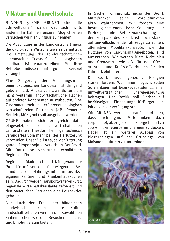#### **V Natur- und Umweltschutz**

90/DIE GRÜNEN sind die **BÜNDNIS** "Umweltpartei", daran wird sich nichts ändern! Im Rahmen unserer Möglichkeiten versuchen wir hier. Einfluss zu nehmen.

Die Ausbildung in der Landwirtschaft muss die ökologische Wirtschaftsweise vermitteln. Die Umstellung der Landwirtschaftlichen Lehranstalten Triesdorf auf ökologischen ist voranzutreiben. Staatliche Landbau **Betriebe** mijssen mit gutem **Beispiel** vorangehen.

Fine Steigerung der Forschungsarbeit beim ökologischen Landbau ist dringend geboten (z.B. Anbau von Eiweißfutter), um nicht weiterhin landwirtschaftliche Flächen auf anderen Kontinenten auszubeuten. Fine Zusammenarbeit mit erfahrenen biologisch wirtschaftenden Betrieben (z.B. Demeter-Betrieb "Müßighof) soll ausgebaut werden.

GRÜNE haben sich erfolgreich dafiir eingesetzt, dass die Landwirtschaftlichen Lehranstalten Triesdorf kein gentechnisch verändertes Soja mehr bei der Tierfütterung verwenden. Unser Ziel ist es, bei der Fütterung ganz auf Importsoja zu verzichten. Der Bezirk Mittelfranken soll sich zur gentechnikfreien Region erklären.

Regionale, ökologisch und fair gehandelte Produkte müssen die überwiegenden Bestandteile der Nahrungsmittel in bezirkseigenen Kantinen und Krankenhausküchen sein. Dadurch werden Transportwege verkürzt. regionale Wirtschaftskreisläufe gefördert und den bäuerlichen Betrieben eine Perspektive geboten.

Nur durch den Erhalt der bäuerlichen Landwirtschaft kann **unsere** Kulturlandschaft erhalten werden und sowohl den Finheimischen wie den Besuchern Lebensund Erholungsraum bieten.

In Sachen Klimaschutz muss der Bezirk Mittelfranken coine Vorhildfunktion aktiv wahrnehmen. Wir fordern eine bestmögliche energetische Sanierung aller Bezirksgebäude. Bei Neuanschaffung für den Fuhrpark des Bezirk ist noch stärker auf umweltschonende Fahrzeuge zu achten. alternative Mobilitätskonzente, wie **die** Nutzung von Car-Sharing-Angeboten, sind anzustrehen Wir werden klare Richtlinien und Grenzwerte wie z.B. für den CO2 -Ausstoss und Kraftstoffverbrauch für den Fuhrpark einführen.

Der Bezirk muss regenerative Energien stärker fördern. Wo immer möglich, sollen Solaranlagen auf Bezirksgebäuden zu einer umweltverträglichen Fnergieerzeugung beitragen. Der Bezirk soll Dächer auf bezirkseigenen Einrichtungen für Bürgersolarinitiativen zur Verfügung stellen.

Wir GRÜNEN werden darauf hinarbeiten. dass Mittelfranken dazu sich ganz verpflichtet, ab 2030 seinen Energiebedarf zu 100% mit erneuerbaren Energien zu decken. Dabei ist ein weiterer Ausbau  $V \cap n$ Biogasanlagen auf der Grundlage von Maismonokulturen zu unterbinden.

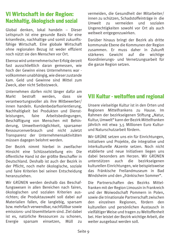#### **VI Wirtschaft in der Region:** Nachhaltig, ökologisch und sozial

Global denken, lokal handeln - Dieser Leitspruch ist eine gesunde Basis für eine krisenfeste, nachhaltige und somit zukunftsfähige Wirtschaft. Eine globale Wirtschaft ohne regionalen Bezug ist weder effizient noch nijtzt sie den Menschen vor Ort.

Ebenso wird unternehmerischer Erfolg derzeit fast ausschließlich daran gemessen, wie hoch der Gewinn eines Unternehmens war vollkommen unabhängig, wie dieser zustande kam. Geld und Gewinne sind Mittel zum Zweck, aber nicht Selbstzweck.

Unternehmen dürfen nicht länger dafür am hestraft werden. Markt dass sie verantwortungsvoller als ihre Mithewerber/ innen handeln. Kundenbedarfsorientierung. Nachhaltigkeit bei Produkten und Dienstleistungen. faire Arbeitsbedingungen. Beschäftigung von Menschen mit Behinderung. Umweltverträglichkeit. sparsamer Ressourcenverbrauch und nicht zuletzt Transparenz der Unternehmensaktivitäten müssen dagegen belohnt werden.

Der Bezirk nimmt hierhei in zweifacher Hinsicht eine Schlüsselstellung ein: Die öffentliche Hand ist der größte Beschaffer in Deutschland, Deshalb ist auch der Bezirk in der Pflicht, noch mehr ökologische, soziale und faire Kriterien bei seinen Entscheidung heranzuziehen

Wir GRÜNEN werden deshalb das Beschaffungswesen in allen Bereichen nach fairen. ökologischen und sozialen Kriterien ausrichten: die Produktauswahl soll dabei auf Materialien fallen, die langlebig, sparsam bzw. mehrfach verwendbar, nachfüllbar sowie emissions- und lösemittelarm sind. Ziel dabei ist es, natürliche Ressourcen zu schonen. Energie sparsam einsetzen, Miill 711 vermeiden, die Gesundheit der Mitarbeiter/ innen zu schützen. Schadstoffeinträge in die **Ilmwelt** zu vermeiden und sozialen Ungerechtigkeiten sowohl vor Ort als auch weltweit entgegenzuwirken.

Darüber hinaus bringt der Bezirk als dritte kommunale Ebene die Kommunen der Region zusammen. Er muss daher in Zukunft stärkeres Gewicht auf die wichtige Koordinierungs- und Vernetzungsarbeit für die ganze Region setzen.

#### **VII Kultur - weltoffen und regional**

Unsere vielseitige Kultur ist in den Orten und Regionen Mittelfrankens zu Hause.  $Im$ Rahmen der bezirkseigenen Stiftung "Natur. Kultur, Umwelt" kann der Bezirk Mittelfranken jährlich mit etwa 3.5 Millionen Euro Kulturund Naturschutzarheit fördern

Wir GRÜNE setzen uns ein für Einrichtungen. Initiativen und Projekte, die integrative und interkulturelle Akzente setzen. Noch nicht etablierte und neue Initiativen liegen uns dabei besonders am Herzen. Wir GRÜNEN unterstützen auch die bezirkseigenen kulturellen Einrichtungen, wie beispielsweise das Fränkische Freilandmuseum in Bad Windsheim und den "fränkischen Sommer".

Die Partnerschaften des Bezirks Mittelfranken mit der Region Limousin in Frankreich und der Woiwodschaft Pommern in Polen. sowie die trinationale Partnerschaft zwischen den einzelnen Regionen, fördern den kulturellen und persönlichen Austausch in vielfältiger Weise und tragen zu Weltoffenheit bei. Hier leistet der Bezirk wichtige Arbeit, die weiter ausgebaut werden soll.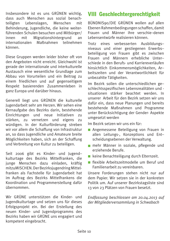Insbesondere ist es uns GRÜNEN wichtig, dass auch Menschen aus sozial benach-<br>teiligten Lebenslagen. Menschen mit teiligten Lebenslagen, Menschen mit Behinderung, Jugendliche, die keine weiterführenden Schulen besuchen und Mitbürger/<br>
innen mit Migrationshintergrund an Migrationshintergrund an<br>Maßnahmen teilnehmen internationalen können

Diese Gruppen werden leider bisher oft von den Angeboten nicht erreicht. Gleichwohl ist  $\overline{\mathbf{z}}$ erade der internationale und interkulturelle Austausch eine wesentliche Grundlage zum Abbau von Vorurteilen und ein Beitrag zu einem friedlichen und auf gegenseitigem Respekt basierenden Zusammenleben in ganz Europa und darüber hinaus.

Generell liegt uns GRÜNEN die kulturelle lugendarbeit sehr am Herzen. Wir sehen eine Kernaufgabe des Bezirks darin, bestehende Einrichtungen und neue Initiativen zu<br>stärken, zu vernetzen und eigens zu stärken. zu vernetzen und eigens würdigen. In der Kulturförderung streben wir vor allem die Schaffung von Infrastruktur an, so dass Jugendliche und Amateure breite Möglichkeiten haben, sich an der Schaffung und Verbreitung von Kultur zu beteiligen.

Seit 2006 gibt es Kinder- und lugend- $K$ ulturtage des Bezirks Mittelfranken, die iunge Menschen dazu einladen, kräftig  $\overline{1}$  mitzuMISCHEN. Der Bezirksiugendring Mittel- $\limsup$  franken als Fachstelle für Jugendarbeit hat  $\overline{m}$  Auftrag des Bezirks Mittelfrankens die Koordination und Programmerstellung dafür  $i$ ihernommen

Wir GRÜNE unterstützen die Kinder- und Iugendkulturtage und setzen uns für dieses Erfolgsprojekt ein. Bei der Erstellung des neuen Kinder- und Jugendprogramms des Bezirks haben wir GRÜNE uns engagiert und kompetent eingebracht.

## VIII Geschlechtergerechtigkeit

BÜNDNIS90/DIE GRÜNEN wollen auf allen Fbenen Rahmenbedingungen schaffen, damit Frauen und Männer ihre verschie-denen Lebensentwijrfe realisieren können

Trotz eines verbesserten Ausbildungsniveaus und einer gestiegenen Erwerbsbeteiligung von Frauen gibt es zwischen Frauen und Männern erhebliche Unterschiede in den Berufs- und Karriereverläufen hinsichtlich Finkommensmöglichkeiten. Arbeitszeiten und der Verantwortlichkeit für unbezahlte Tätigkeiten.

Im Bezirk sollen die unterschiedlichen geschlechtsspezifischen Lebensrealitäten und situationen stärker beachtet werden. In  $\overline{U}$ dafür ein, dass neue Planungen und bereits bestehende Maßnahmen und Programme unter Berücksichtigung der Gender- Aspekte umgesetzt werden

Im Bezirk setzen wir uns ein für:

- $\blacksquare$  Angemessene Beteiligung von Frauen in allen Leitungs-, Konzeptions und Entscheidungsebenen der Verwaltung.
- **E mehr Männer in soziale, pflegende und** erziehende Berufe.
- $\blacksquare$  keine Benachteiligung durch Elternzeit.
- $\blacksquare$  flexible Arbeitszeitmodelle um Beruf und Familienarbeit zu vereinbaren.

Unsere Forderungen stehen nicht nur auf dem Papier. Wir setzen sie in der konkreten Politik um. Auf unserer Bezirkstagsliste sind 13 von 23 Plätzen von Frauen besetzt.

Endfassung beschlossen am 20.04.2013 auf der Mitaliederversammlung in Schwabach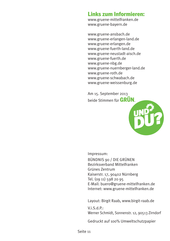#### Links zum Informieren:

www.gruene-mittelfranken.de www.gruene-bayern.de

www.gruene-ansbach.de www.gruene-erlangen-land.de www.gruene-erlangen.de www.gruene-fuerth-land.de www.gruene-neustadt-aisch.de www.gruene-fuerth.de www.gruene-nbg.de www.gruene-nuernberger-land.de www.gruene-roth.de www.gruene-schwabach.de www.gruene-weissenburg.de

Am 15. September 2013 beide Stimmen für  $GRUN$ 



lmpressum:

BÜNDNIS 90 / DIE GRÜNEN Bezirksverband Mittelfranken Grünes Zentrum Kaiserstr. 17, 90402 Nürnberg Tel. (09 11) 598 20 95 E-Mail: buero@gruene-mittelfranken.de Internet: www.gruene-mittelfranken.de

Layout: Birgit Raab, www.birgit-raab.de

 $V$ . i.  $S$ . d.  $P$ . Werner Schmidt, Sonnenstr. 12, 90513 Zirndorf

Gedruckt auf 100% Umweltschutzpapier